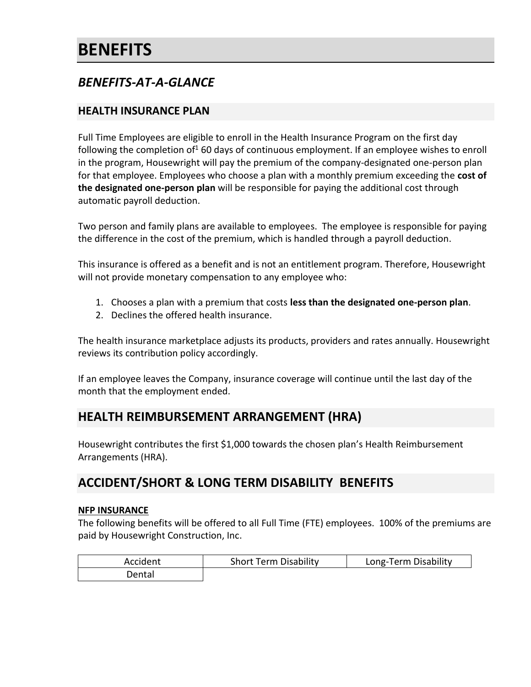# **BENEFITS**

# *BENEFITS-AT-A-GLANCE*

### **HEALTH INSURANCE PLAN**

Full Time Employees are eligible to enroll in the Health Insurance Program on the first day following the completion of<sup>1</sup> 60 days of continuous employment. If an employee wishes to enroll in the program, Housewright will pay the premium of the company-designated one-person plan for that employee. Employees who choose a plan with a monthly premium exceeding the **cost of the designated one-person plan** will be responsible for paying the additional cost through automatic payroll deduction.

Two person and family plans are available to employees. The employee is responsible for paying the difference in the cost of the premium, which is handled through a payroll deduction.

This insurance is offered as a benefit and is not an entitlement program. Therefore, Housewright will not provide monetary compensation to any employee who:

- 1. Chooses a plan with a premium that costs **less than the designated one-person plan**.
- 2. Declines the offered health insurance.

The health insurance marketplace adjusts its products, providers and rates annually. Housewright reviews its contribution policy accordingly.

If an employee leaves the Company, insurance coverage will continue until the last day of the month that the employment ended.

### **HEALTH REIMBURSEMENT ARRANGEMENT (HRA)**

Housewright contributes the first \$1,000 towards the chosen plan's Health Reimbursement Arrangements (HRA).

# **ACCIDENT/SHORT & LONG TERM DISABILITY BENEFITS**

### **NFP INSURANCE**

The following benefits will be offered to all Full Time (FTE) employees. 100% of the premiums are paid by Housewright Construction, Inc.

| Accident | <b>Short Term Disability</b> | Long-Term Disability |
|----------|------------------------------|----------------------|
| Dental   |                              |                      |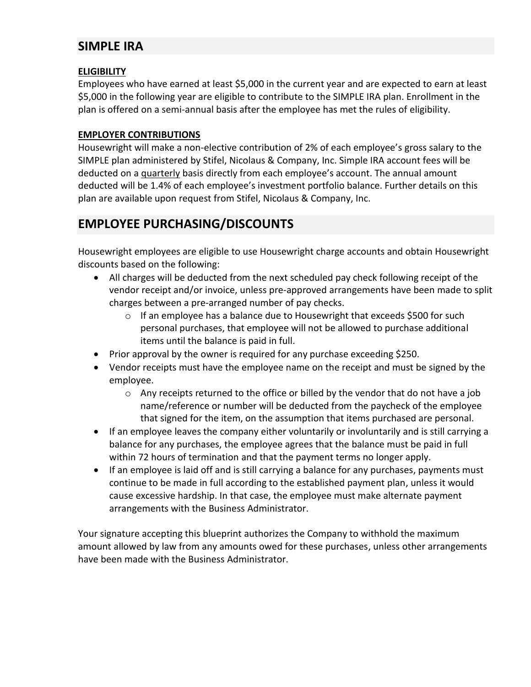# **SIMPLE IRA**

### **ELIGIBILITY**

Employees who have earned at least \$5,000 in the current year and are expected to earn at least \$5,000 in the following year are eligible to contribute to the SIMPLE IRA plan. Enrollment in the plan is offered on a semi-annual basis after the employee has met the rules of eligibility.

### **EMPLOYER CONTRIBUTIONS**

Housewright will make a non-elective contribution of 2% of each employee's gross salary to the SIMPLE plan administered by Stifel, Nicolaus & Company, Inc. Simple IRA account fees will be deducted on a quarterly basis directly from each employee's account. The annual amount deducted will be 1.4% of each employee's investment portfolio balance. Further details on this plan are available upon request from Stifel, Nicolaus & Company, Inc.

# **EMPLOYEE PURCHASING/DISCOUNTS**

Housewright employees are eligible to use Housewright charge accounts and obtain Housewright discounts based on the following:

- All charges will be deducted from the next scheduled pay check following receipt of the vendor receipt and/or invoice, unless pre-approved arrangements have been made to split charges between a pre-arranged number of pay checks.
	- $\circ$  If an employee has a balance due to Housewright that exceeds \$500 for such personal purchases, that employee will not be allowed to purchase additional items until the balance is paid in full.
- Prior approval by the owner is required for any purchase exceeding \$250.
- Vendor receipts must have the employee name on the receipt and must be signed by the employee.
	- $\circ$  Any receipts returned to the office or billed by the vendor that do not have a job name/reference or number will be deducted from the paycheck of the employee that signed for the item, on the assumption that items purchased are personal.
- If an employee leaves the company either voluntarily or involuntarily and is still carrying a balance for any purchases, the employee agrees that the balance must be paid in full within 72 hours of termination and that the payment terms no longer apply.
- If an employee is laid off and is still carrying a balance for any purchases, payments must continue to be made in full according to the established payment plan, unless it would cause excessive hardship. In that case, the employee must make alternate payment arrangements with the Business Administrator.

Your signature accepting this blueprint authorizes the Company to withhold the maximum amount allowed by law from any amounts owed for these purchases, unless other arrangements have been made with the Business Administrator.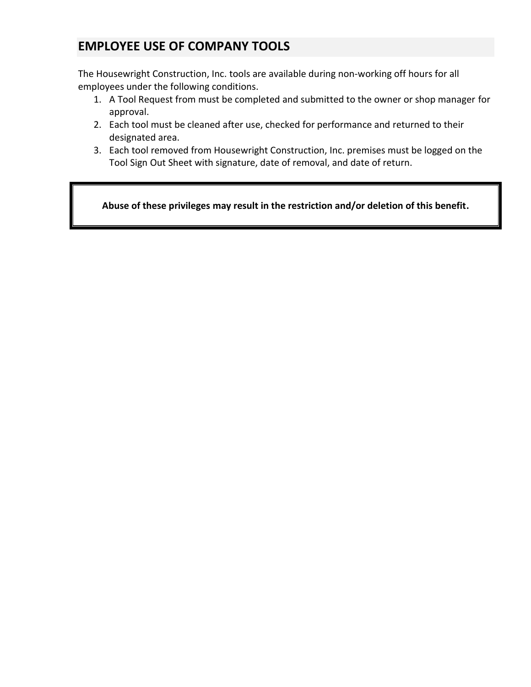# **EMPLOYEE USE OF COMPANY TOOLS**

The Housewright Construction, Inc. tools are available during non-working off hours for all employees under the following conditions.

- 1. A Tool Request from must be completed and submitted to the owner or shop manager for approval.
- 2. Each tool must be cleaned after use, checked for performance and returned to their designated area.
- 3. Each tool removed from Housewright Construction, Inc. premises must be logged on the Tool Sign Out Sheet with signature, date of removal, and date of return.

**Abuse of these privileges may result in the restriction and/or deletion of this benefit.**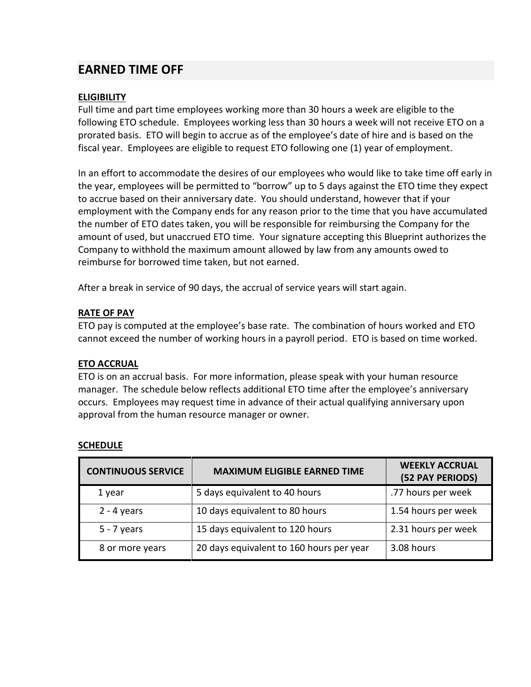### **EARNED TIME OFF**

### **ELIGIBILITY**

Full time and part time employees working more than 30 hours a week are eligible to the following ETO schedule. Employees working less than 30 hours a week will not receive ETO on a prorated basis. ETO will begin to accrue as of the employee's date of hire and is based on the fiscal year. Employees are eligible to request ETO following one (1) year of employment.

In an effort to accommodate the desires of our employees who would like to take time off early in the year, employees will be permitted to "borrow" up to 5 days against the ETO time they expect to accrue based on their anniversary date. You should understand, however that if your employment with the Company ends for any reason prior to the time that you have accumulated the number of ETO dates taken, you will be responsible for reimbursing the Company for the amount of used, but unaccrued ETO time. Your signature accepting this Blueprint authorizes the Company to withhold the maximum amount allowed by law from any amounts owed to reimburse for borrowed time taken, but not earned.

After a break in service of 90 days, the accrual of service years will start again.

### **RATE OF PAY**

ETO pay is computed at the employee's base rate. The combination of hours worked and ETO cannot exceed the number of working hours in a payroll period. ETO is based on time worked.

### **ETO ACCRUAL**

ETO is on an accrual basis. For more information, please speak with your human resource manager. The schedule below reflects additional ETO time after the employee's anniversary occurs. Employees may request time in advance of their actual qualifying anniversary upon approval from the human resource manager or owner.

| <b>CONTINUOUS SERVICE</b> | <b>MAXIMUM ELIGIBLE EARNED TIME</b>      | <b>WEEKLY ACCRUAL</b><br>(52 PAY PERIODS) |
|---------------------------|------------------------------------------|-------------------------------------------|
| 1 year                    | 5 days equivalent to 40 hours            | .77 hours per week                        |
| $2 - 4$ years             | 10 days equivalent to 80 hours           | 1.54 hours per week                       |
| $5 - 7$ years             | 15 days equivalent to 120 hours          | 2.31 hours per week                       |
| 8 or more years           | 20 days equivalent to 160 hours per year | 3.08 hours                                |

### **SCHEDULE**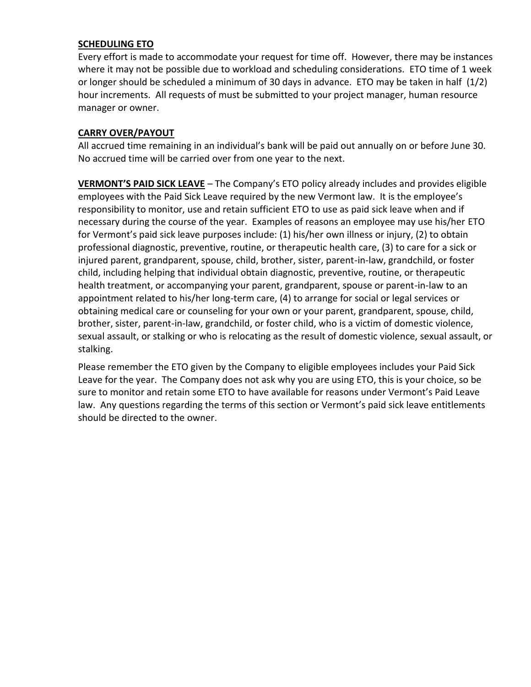### **SCHEDULING ETO**

Every effort is made to accommodate your request for time off. However, there may be instances where it may not be possible due to workload and scheduling considerations. ETO time of 1 week or longer should be scheduled a minimum of 30 days in advance. ETO may be taken in half (1/2) hour increments. All requests of must be submitted to your project manager, human resource manager or owner.

#### **CARRY OVER/PAYOUT**

All accrued time remaining in an individual's bank will be paid out annually on or before June 30. No accrued time will be carried over from one year to the next.

**VERMONT'S PAID SICK LEAVE** – The Company's ETO policy already includes and provides eligible employees with the Paid Sick Leave required by the new Vermont law. It is the employee's responsibility to monitor, use and retain sufficient ETO to use as paid sick leave when and if necessary during the course of the year. Examples of reasons an employee may use his/her ETO for Vermont's paid sick leave purposes include: (1) his/her own illness or injury, (2) to obtain professional diagnostic, preventive, routine, or therapeutic health care, (3) to care for a sick or injured parent, grandparent, spouse, child, brother, sister, parent-in-law, grandchild, or foster child, including helping that individual obtain diagnostic, preventive, routine, or therapeutic health treatment, or accompanying your parent, grandparent, spouse or parent-in-law to an appointment related to his/her long-term care, (4) to arrange for social or legal services or obtaining medical care or counseling for your own or your parent, grandparent, spouse, child, brother, sister, parent-in-law, grandchild, or foster child, who is a victim of domestic violence, sexual assault, or stalking or who is relocating as the result of domestic violence, sexual assault, or stalking.

Please remember the ETO given by the Company to eligible employees includes your Paid Sick Leave for the year. The Company does not ask why you are using ETO, this is your choice, so be sure to monitor and retain some ETO to have available for reasons under Vermont's Paid Leave law. Any questions regarding the terms of this section or Vermont's paid sick leave entitlements should be directed to the owner.